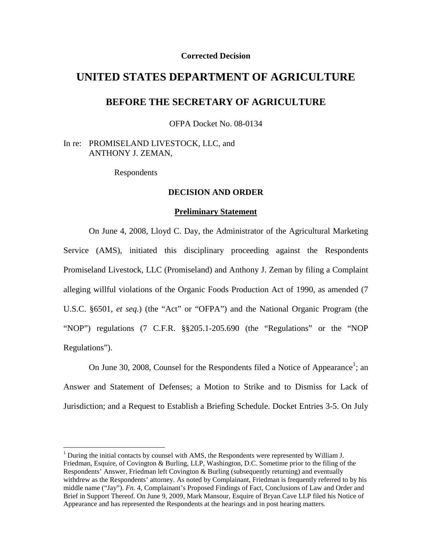## **Corrected Decision**

# **UNITED STATES DEPARTMENT OF AGRICULTURE**

# **BEFORE THE SECRETARY OF AGRICULTURE**

OFPA Docket No. 08-0134

In re: PROMISELAND LIVESTOCK, LLC, and ANTHONY J. ZEMAN,

Respondents

# **DECISION AND ORDER**

#### **Preliminary Statement**

On June 4, 2008, Lloyd C. Day, the Administrator of the Agricultural Marketing Service (AMS), initiated this disciplinary proceeding against the Respondents Promiseland Livestock, LLC (Promiseland) and Anthony J. Zeman by filing a Complaint alleging willful violations of the Organic Foods Production Act of 1990, as amended (7 U.S.C. §6501, *et seq.*) (the "Act" or "OFPA") and the National Organic Program (the "NOP") regulations (7 C.F.R. §§205.1-205.690 (the "Regulations" or the "NOP Regulations").

On June 30, 2008, Counsel for the Respondents filed a Notice of Appearance<sup>1</sup>; an Answer and Statement of Defenses; a Motion to Strike and to Dismiss for Lack of Jurisdiction; and a Request to Establish a Briefing Schedule. Docket Entries 3-5. On July

 $<sup>1</sup>$  During the initial contacts by counsel with AMS, the Respondents were represented by William J.</sup> Friedman, Esquire, of Covington & Burling, LLP, Washington, D.C. Sometime prior to the filing of the Respondents' Answer, Friedman left Covington & Burling (subsequently returning) and eventually withdrew as the Respondents' attorney. As noted by Complainant, Friedman is frequently referred to by his middle name ("Jay"). *Fn.* 4, Complainant's Proposed Findings of Fact, Conclusions of Law and Order and Brief in Support Thereof. On June 9, 2009, Mark Mansour, Esquire of Bryan Cave LLP filed his Notice of Appearance and has represented the Respondents at the hearings and in post hearing matters.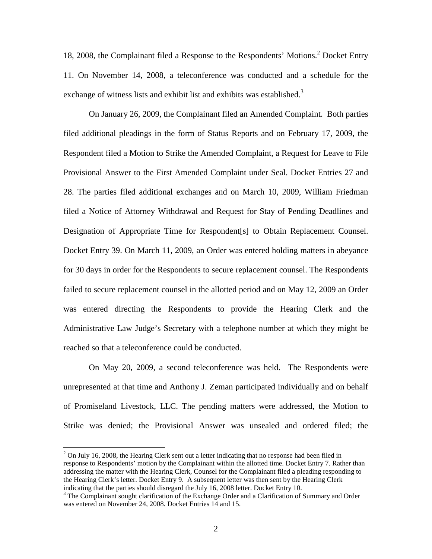18, 2008, the Complainant filed a Response to the Respondents' Motions.2 Docket Entry 11. On November 14, 2008, a teleconference was conducted and a schedule for the exchange of witness lists and exhibit list and exhibits was established.<sup>3</sup>

On January 26, 2009, the Complainant filed an Amended Complaint. Both parties filed additional pleadings in the form of Status Reports and on February 17, 2009, the Respondent filed a Motion to Strike the Amended Complaint, a Request for Leave to File Provisional Answer to the First Amended Complaint under Seal. Docket Entries 27 and 28. The parties filed additional exchanges and on March 10, 2009, William Friedman filed a Notice of Attorney Withdrawal and Request for Stay of Pending Deadlines and Designation of Appropriate Time for Respondent[s] to Obtain Replacement Counsel. Docket Entry 39. On March 11, 2009, an Order was entered holding matters in abeyance for 30 days in order for the Respondents to secure replacement counsel. The Respondents failed to secure replacement counsel in the allotted period and on May 12, 2009 an Order was entered directing the Respondents to provide the Hearing Clerk and the Administrative Law Judge's Secretary with a telephone number at which they might be reached so that a teleconference could be conducted.

On May 20, 2009, a second teleconference was held. The Respondents were unrepresented at that time and Anthony J. Zeman participated individually and on behalf of Promiseland Livestock, LLC. The pending matters were addressed, the Motion to Strike was denied; the Provisional Answer was unsealed and ordered filed; the

 $2$  On July 16, 2008, the Hearing Clerk sent out a letter indicating that no response had been filed in response to Respondents' motion by the Complainant within the allotted time. Docket Entry 7. Rather than addressing the matter with the Hearing Clerk, Counsel for the Complainant filed a pleading responding to the Hearing Clerk's letter. Docket Entry 9. A subsequent letter was then sent by the Hearing Clerk indicating that the parties should disregard the July 16, 2008 letter. Docket Entry 10.

<sup>&</sup>lt;sup>3</sup> The Complainant sought clarification of the Exchange Order and a Clarification of Summary and Order was entered on November 24, 2008. Docket Entries 14 and 15.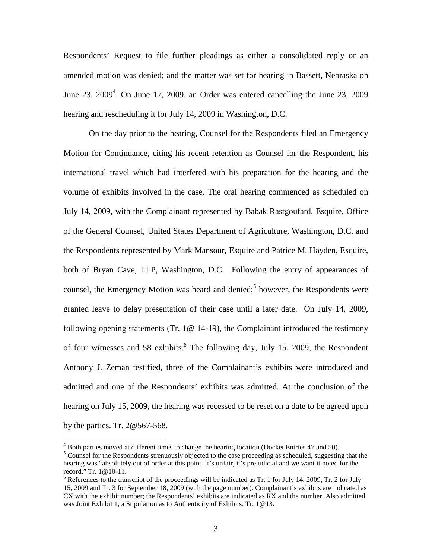Respondents' Request to file further pleadings as either a consolidated reply or an amended motion was denied; and the matter was set for hearing in Bassett, Nebraska on June 23,  $2009<sup>4</sup>$ . On June 17, 2009, an Order was entered cancelling the June 23, 2009 hearing and rescheduling it for July 14, 2009 in Washington, D.C.

On the day prior to the hearing, Counsel for the Respondents filed an Emergency Motion for Continuance, citing his recent retention as Counsel for the Respondent, his international travel which had interfered with his preparation for the hearing and the volume of exhibits involved in the case. The oral hearing commenced as scheduled on July 14, 2009, with the Complainant represented by Babak Rastgoufard, Esquire, Office of the General Counsel, United States Department of Agriculture, Washington, D.C. and the Respondents represented by Mark Mansour, Esquire and Patrice M. Hayden, Esquire, both of Bryan Cave, LLP, Washington, D.C. Following the entry of appearances of counsel, the Emergency Motion was heard and denied;<sup>5</sup> however, the Respondents were granted leave to delay presentation of their case until a later date. On July 14, 2009, following opening statements (Tr. 1@ 14-19), the Complainant introduced the testimony of four witnesses and 58 exhibits.<sup>6</sup> The following day, July 15, 2009, the Respondent Anthony J. Zeman testified, three of the Complainant's exhibits were introduced and admitted and one of the Respondents' exhibits was admitted. At the conclusion of the hearing on July 15, 2009, the hearing was recessed to be reset on a date to be agreed upon by the parties. Tr. 2@567-568.

 $4$  Both parties moved at different times to change the hearing location (Docket Entries 47 and 50).

<sup>&</sup>lt;sup>5</sup> Counsel for the Respondents strenuously objected to the case proceeding as scheduled, suggesting that the hearing was "absolutely out of order at this point. It's unfair, it's prejudicial and we want it noted for the record." Tr.  $1@10-11$ .<br><sup>6</sup> References to the transcript of the proceedings will be indicated as Tr. 1 for July 14, 2009, Tr. 2 for July

<sup>15, 2009</sup> and Tr. 3 for September 18, 2009 (with the page number). Complainant's exhibits are indicated as CX with the exhibit number; the Respondents' exhibits are indicated as RX and the number. Also admitted was Joint Exhibit 1, a Stipulation as to Authenticity of Exhibits. Tr. 1@13.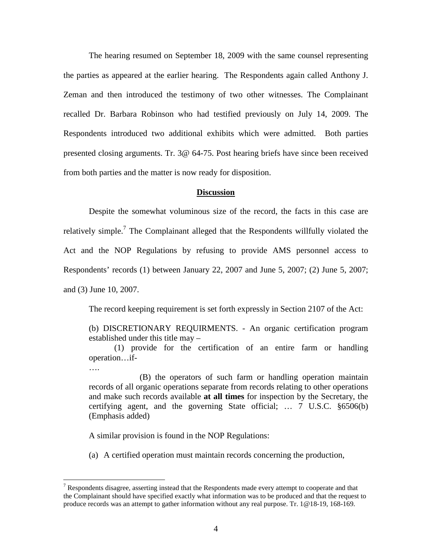The hearing resumed on September 18, 2009 with the same counsel representing the parties as appeared at the earlier hearing. The Respondents again called Anthony J. Zeman and then introduced the testimony of two other witnesses. The Complainant recalled Dr. Barbara Robinson who had testified previously on July 14, 2009. The Respondents introduced two additional exhibits which were admitted. Both parties presented closing arguments. Tr. 3@ 64-75. Post hearing briefs have since been received from both parties and the matter is now ready for disposition.

### **Discussion**

Despite the somewhat voluminous size of the record, the facts in this case are relatively simple.<sup>7</sup> The Complainant alleged that the Respondents willfully violated the Act and the NOP Regulations by refusing to provide AMS personnel access to Respondents' records (1) between January 22, 2007 and June 5, 2007; (2) June 5, 2007; and (3) June 10, 2007.

The record keeping requirement is set forth expressly in Section 2107 of the Act:

(b) DISCRETIONARY REQUIRMENTS. - An organic certification program established under this title may –

(1) provide for the certification of an entire farm or handling operation…if-

(B) the operators of such farm or handling operation maintain records of all organic operations separate from records relating to other operations and make such records available **at all times** for inspection by the Secretary, the certifying agent, and the governing State official; … 7 U.S.C. §6506(b) (Emphasis added)

A similar provision is found in the NOP Regulations:

….

(a) A certified operation must maintain records concerning the production,

<sup>&</sup>lt;sup>7</sup> Respondents disagree, asserting instead that the Respondents made every attempt to cooperate and that the Complainant should have specified exactly what information was to be produced and that the request to produce records was an attempt to gather information without any real purpose. Tr. 1@18-19, 168-169.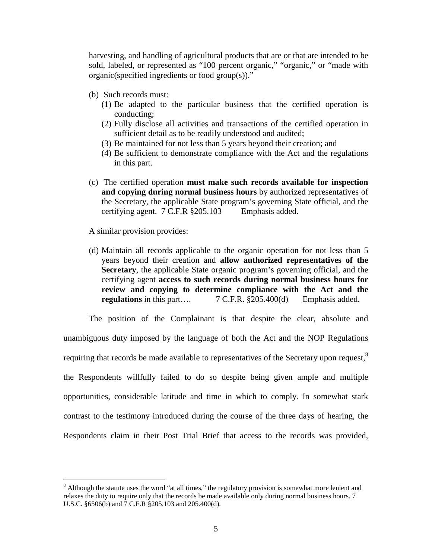harvesting, and handling of agricultural products that are or that are intended to be sold, labeled, or represented as "100 percent organic," "organic," or "made with organic(specified ingredients or food group(s))."

- (b) Such records must:
	- (1) Be adapted to the particular business that the certified operation is conducting;
	- (2) Fully disclose all activities and transactions of the certified operation in sufficient detail as to be readily understood and audited;
	- (3) Be maintained for not less than 5 years beyond their creation; and
	- (4) Be sufficient to demonstrate compliance with the Act and the regulations in this part.
- (c) The certified operation **must make such records available for inspection and copying during normal business hours** by authorized representatives of the Secretary, the applicable State program's governing State official, and the certifying agent. 7 C.F.R §205.103 Emphasis added.

A similar provision provides:

(d) Maintain all records applicable to the organic operation for not less than 5 years beyond their creation and **allow authorized representatives of the Secretary**, the applicable State organic program's governing official, and the certifying agent **access to such records during normal business hours for review and copying to determine compliance with the Act and the regulations** in this part…. 7 C.F.R. §205.400(d) Emphasis added.

The position of the Complainant is that despite the clear, absolute and unambiguous duty imposed by the language of both the Act and the NOP Regulations requiring that records be made available to representatives of the Secretary upon request,<sup>8</sup> the Respondents willfully failed to do so despite being given ample and multiple opportunities, considerable latitude and time in which to comply. In somewhat stark contrast to the testimony introduced during the course of the three days of hearing, the Respondents claim in their Post Trial Brief that access to the records was provided,

 $8$  Although the statute uses the word "at all times," the regulatory provision is somewhat more lenient and relaxes the duty to require only that the records be made available only during normal business hours. 7 U.S.C. §6506(b) and 7 C.F.R §205.103 and 205.400(d).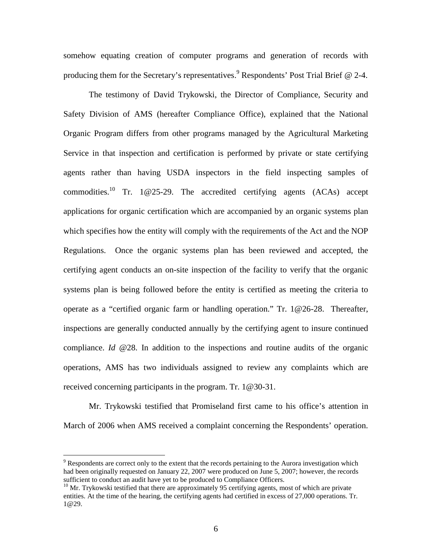somehow equating creation of computer programs and generation of records with producing them for the Secretary's representatives.<sup>9</sup> Respondents' Post Trial Brief  $\omega$  2-4.

The testimony of David Trykowski, the Director of Compliance, Security and Safety Division of AMS (hereafter Compliance Office), explained that the National Organic Program differs from other programs managed by the Agricultural Marketing Service in that inspection and certification is performed by private or state certifying agents rather than having USDA inspectors in the field inspecting samples of commodities.10 Tr. 1@25-29. The accredited certifying agents (ACAs) accept applications for organic certification which are accompanied by an organic systems plan which specifies how the entity will comply with the requirements of the Act and the NOP Regulations. Once the organic systems plan has been reviewed and accepted, the certifying agent conducts an on-site inspection of the facility to verify that the organic systems plan is being followed before the entity is certified as meeting the criteria to operate as a "certified organic farm or handling operation." Tr. 1@26-28. Thereafter, inspections are generally conducted annually by the certifying agent to insure continued compliance. *Id* @28. In addition to the inspections and routine audits of the organic operations, AMS has two individuals assigned to review any complaints which are received concerning participants in the program. Tr. 1@30-31.

Mr. Trykowski testified that Promiseland first came to his office's attention in March of 2006 when AMS received a complaint concerning the Respondents' operation.

 $9$  Respondents are correct only to the extent that the records pertaining to the Aurora investigation which had been originally requested on January 22, 2007 were produced on June 5, 2007; however, the records sufficient to conduct an audit have yet to be produced to Compliance Officers.

<sup>&</sup>lt;sup>10</sup> Mr. Trykowski testified that there are approximately 95 certifying agents, most of which are private entities. At the time of the hearing, the certifying agents had certified in excess of 27,000 operations. Tr. 1@29.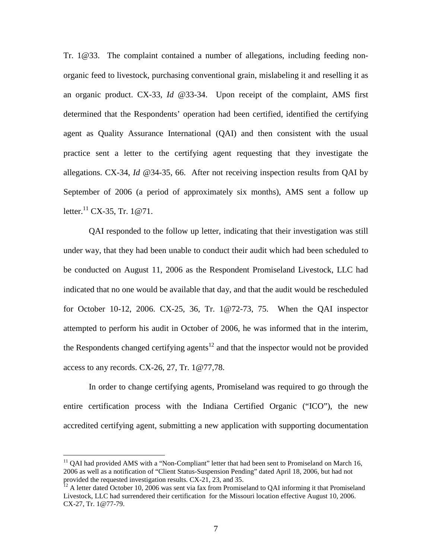Tr. 1@33. The complaint contained a number of allegations, including feeding nonorganic feed to livestock, purchasing conventional grain, mislabeling it and reselling it as an organic product. CX-33, *Id* @33-34. Upon receipt of the complaint, AMS first determined that the Respondents' operation had been certified, identified the certifying agent as Quality Assurance International (QAI) and then consistent with the usual practice sent a letter to the certifying agent requesting that they investigate the allegations. CX-34, *Id @*34-35, 66. After not receiving inspection results from QAI by September of 2006 (a period of approximately six months), AMS sent a follow up letter.<sup>11</sup> CX-35, Tr. 1@71.

QAI responded to the follow up letter, indicating that their investigation was still under way, that they had been unable to conduct their audit which had been scheduled to be conducted on August 11, 2006 as the Respondent Promiseland Livestock, LLC had indicated that no one would be available that day, and that the audit would be rescheduled for October 10-12, 2006. CX-25, 36, Tr. 1@72-73, 75. When the QAI inspector attempted to perform his audit in October of 2006, he was informed that in the interim, the Respondents changed certifying agents<sup>12</sup> and that the inspector would not be provided access to any records. CX-26, 27, Tr. 1@77,78.

In order to change certifying agents, Promiseland was required to go through the entire certification process with the Indiana Certified Organic ("ICO"), the new accredited certifying agent, submitting a new application with supporting documentation

 $11$  QAI had provided AMS with a "Non-Compliant" letter that had been sent to Promiseland on March 16, 2006 as well as a notification of "Client Status-Suspension Pending" dated April 18, 2006, but had not provided the requested investigation results. CX-21, 23, and 35.  $\frac{12}{12}$  A letter dated October 10, 2006 was sent via fax from Promiseland to QAI informing it that Promiseland

Livestock, LLC had surrendered their certification for the Missouri location effective August 10, 2006. CX-27, Tr. 1@77-79.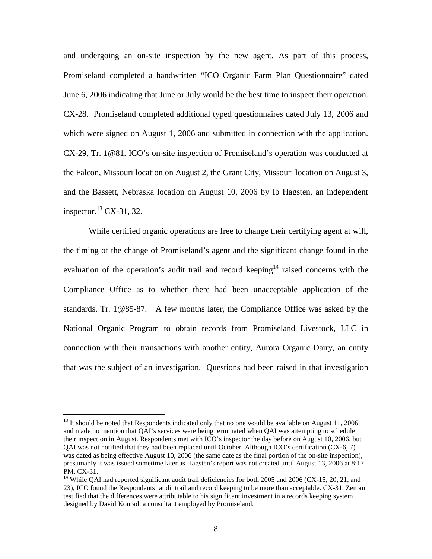and undergoing an on-site inspection by the new agent. As part of this process, Promiseland completed a handwritten "ICO Organic Farm Plan Questionnaire" dated June 6, 2006 indicating that June or July would be the best time to inspect their operation. CX-28. Promiseland completed additional typed questionnaires dated July 13, 2006 and which were signed on August 1, 2006 and submitted in connection with the application. CX-29, Tr. 1@81. ICO's on-site inspection of Promiseland's operation was conducted at the Falcon, Missouri location on August 2, the Grant City, Missouri location on August 3, and the Bassett, Nebraska location on August 10, 2006 by Ib Hagsten, an independent inspector. $^{13}$  CX-31, 32.

While certified organic operations are free to change their certifying agent at will, the timing of the change of Promiseland's agent and the significant change found in the evaluation of the operation's audit trail and record keeping<sup>14</sup> raised concerns with the Compliance Office as to whether there had been unacceptable application of the standards. Tr. 1@85-87. A few months later, the Compliance Office was asked by the National Organic Program to obtain records from Promiseland Livestock, LLC in connection with their transactions with another entity, Aurora Organic Dairy, an entity that was the subject of an investigation. Questions had been raised in that investigation

 $13$  It should be noted that Respondents indicated only that no one would be available on August 11, 2006 and made no mention that QAI's services were being terminated when QAI was attempting to schedule their inspection in August. Respondents met with ICO's inspector the day before on August 10, 2006, but QAI was not notified that they had been replaced until October. Although ICO's certification (CX-6, 7) was dated as being effective August 10, 2006 (the same date as the final portion of the on-site inspection), presumably it was issued sometime later as Hagsten's report was not created until August 13, 2006 at 8:17 PM. CX-31.<br><sup>14</sup> While QAI had reported significant audit trail deficiencies for both 2005 and 2006 (CX-15, 20, 21, and

<sup>23),</sup> ICO found the Respondents' audit trail and record keeping to be more than acceptable. CX-31. Zeman testified that the differences were attributable to his significant investment in a records keeping system designed by David Konrad, a consultant employed by Promiseland.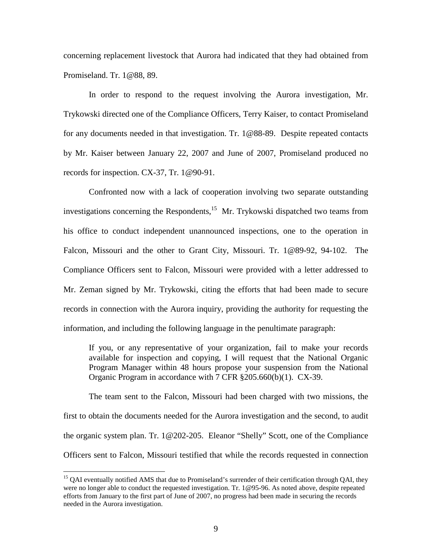concerning replacement livestock that Aurora had indicated that they had obtained from Promiseland. Tr. 1@88, 89.

In order to respond to the request involving the Aurora investigation, Mr. Trykowski directed one of the Compliance Officers, Terry Kaiser, to contact Promiseland for any documents needed in that investigation. Tr. 1@88-89. Despite repeated contacts by Mr. Kaiser between January 22, 2007 and June of 2007, Promiseland produced no records for inspection. CX-37, Tr. 1@90-91.

Confronted now with a lack of cooperation involving two separate outstanding investigations concerning the Respondents,<sup>15</sup> Mr. Trykowski dispatched two teams from his office to conduct independent unannounced inspections, one to the operation in Falcon, Missouri and the other to Grant City, Missouri. Tr. 1@89-92, 94-102. The Compliance Officers sent to Falcon, Missouri were provided with a letter addressed to Mr. Zeman signed by Mr. Trykowski, citing the efforts that had been made to secure records in connection with the Aurora inquiry, providing the authority for requesting the information, and including the following language in the penultimate paragraph:

If you, or any representative of your organization, fail to make your records available for inspection and copying, I will request that the National Organic Program Manager within 48 hours propose your suspension from the National Organic Program in accordance with 7 CFR §205.660(b)(1). CX-39.

The team sent to the Falcon, Missouri had been charged with two missions, the first to obtain the documents needed for the Aurora investigation and the second, to audit the organic system plan. Tr. 1@202-205. Eleanor "Shelly" Scott, one of the Compliance Officers sent to Falcon, Missouri testified that while the records requested in connection

<sup>&</sup>lt;sup>15</sup> QAI eventually notified AMS that due to Promiseland's surrender of their certification through QAI, they were no longer able to conduct the requested investigation. Tr. 1@95-96. As noted above, despite repeated efforts from January to the first part of June of 2007, no progress had been made in securing the records needed in the Aurora investigation.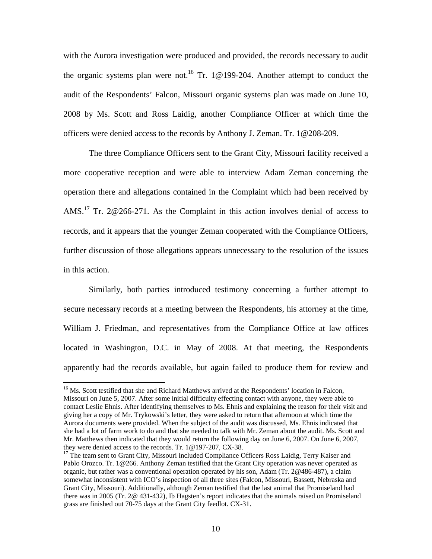with the Aurora investigation were produced and provided, the records necessary to audit the organic systems plan were not.<sup>16</sup> Tr. 1@199-204. Another attempt to conduct the audit of the Respondents' Falcon, Missouri organic systems plan was made on June 10, 2008 by Ms. Scott and Ross Laidig, another Compliance Officer at which time the officers were denied access to the records by Anthony J. Zeman. Tr. 1@208-209.

The three Compliance Officers sent to the Grant City, Missouri facility received a more cooperative reception and were able to interview Adam Zeman concerning the operation there and allegations contained in the Complaint which had been received by AMS.<sup>17</sup> Tr. 2@266-271. As the Complaint in this action involves denial of access to records, and it appears that the younger Zeman cooperated with the Compliance Officers, further discussion of those allegations appears unnecessary to the resolution of the issues in this action.

Similarly, both parties introduced testimony concerning a further attempt to secure necessary records at a meeting between the Respondents, his attorney at the time, William J. Friedman, and representatives from the Compliance Office at law offices located in Washington, D.C. in May of 2008. At that meeting, the Respondents apparently had the records available, but again failed to produce them for review and

<sup>&</sup>lt;sup>16</sup> Ms. Scott testified that she and Richard Matthews arrived at the Respondents' location in Falcon, Missouri on June 5, 2007. After some initial difficulty effecting contact with anyone, they were able to contact Leslie Ehnis. After identifying themselves to Ms. Ehnis and explaining the reason for their visit and giving her a copy of Mr. Trykowski's letter, they were asked to return that afternoon at which time the Aurora documents were provided. When the subject of the audit was discussed, Ms. Ehnis indicated that she had a lot of farm work to do and that she needed to talk with Mr. Zeman about the audit. Ms. Scott and Mr. Matthews then indicated that they would return the following day on June 6, 2007. On June 6, 2007, they were denied access to the records. Tr. 1@197-207, CX-38.

 $17$  The team sent to Grant City, Missouri included Compliance Officers Ross Laidig, Terry Kaiser and Pablo Orozco. Tr. 1@266. Anthony Zeman testified that the Grant City operation was never operated as organic, but rather was a conventional operation operated by his son, Adam (Tr. 2@486-487), a claim somewhat inconsistent with ICO's inspection of all three sites (Falcon, Missouri, Bassett, Nebraska and Grant City, Missouri). Additionally, although Zeman testified that the last animal that Promiseland had there was in 2005 (Tr. 2@ 431-432), Ib Hagsten's report indicates that the animals raised on Promiseland grass are finished out 70-75 days at the Grant City feedlot. CX-31.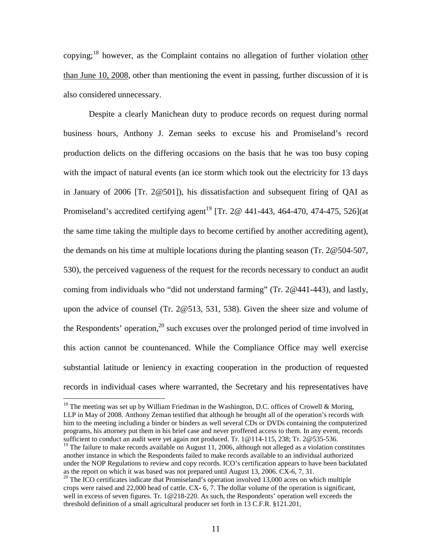copying;<sup>18</sup> however, as the Complaint contains no allegation of further violation other than June 10, 2008, other than mentioning the event in passing, further discussion of it is also considered unnecessary.

Despite a clearly Manichean duty to produce records on request during normal business hours, Anthony J. Zeman seeks to excuse his and Promiseland's record production delicts on the differing occasions on the basis that he was too busy coping with the impact of natural events (an ice storm which took out the electricity for 13 days in January of 2006 [Tr. 2@501]), his dissatisfaction and subsequent firing of QAI as Promiseland's accredited certifying agent<sup>19</sup> [Tr. 2 $\omega$  441-443, 464-470, 474-475, 526](at the same time taking the multiple days to become certified by another accrediting agent), the demands on his time at multiple locations during the planting season (Tr. 2@504-507, 530), the perceived vagueness of the request for the records necessary to conduct an audit coming from individuals who "did not understand farming" (Tr. 2@441-443), and lastly, upon the advice of counsel (Tr. 2@513, 531, 538). Given the sheer size and volume of the Respondents' operation, $2^0$  such excuses over the prolonged period of time involved in this action cannot be countenanced. While the Compliance Office may well exercise substantial latitude or leniency in exacting cooperation in the production of requested records in individual cases where warranted, the Secretary and his representatives have

 $18$  The meeting was set up by William Friedman in the Washington, D.C. offices of Crowell & Moring, LLP in May of 2008. Anthony Zeman testified that although he brought all of the operation's records with him to the meeting including a binder or binders as well several CDs or DVDs containing the computerized programs, his attorney put them in his brief case and never proffered access to them. In any event, records sufficient to conduct an audit were yet again not produced. Tr. 1@114-115, 238; Tr. 2@535-536.

<sup>&</sup>lt;sup>19</sup> The failure to make records available on August 11, 2006, although not alleged as a violation constitutes another instance in which the Respondents failed to make records available to an individual authorized under the NOP Regulations to review and copy records. ICO's certification appears to have been backdated as the report on which it was based was not prepared until August 13, 2006. CX-6, 7, 31.

<sup>&</sup>lt;sup>20</sup> The ICO certificates indicate that Promiseland's operation involved 13,000 acres on which multiple crops were raised and 22,000 head of cattle. CX- 6, 7. The dollar volume of the operation is significant, well in excess of seven figures. Tr. 1@218-220. As such, the Respondents' operation well exceeds the threshold definition of a small agricultural producer set forth in 13 C.F.R. §121.201,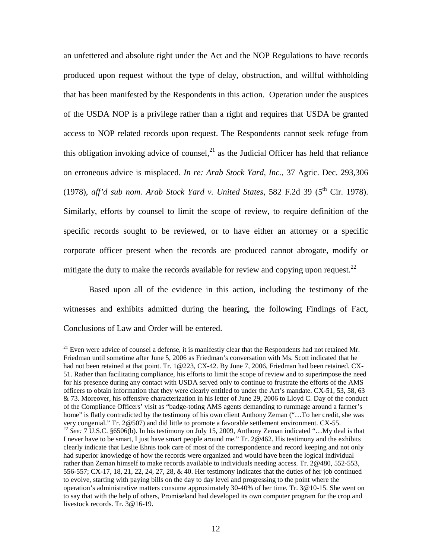an unfettered and absolute right under the Act and the NOP Regulations to have records produced upon request without the type of delay, obstruction, and willful withholding that has been manifested by the Respondents in this action. Operation under the auspices of the USDA NOP is a privilege rather than a right and requires that USDA be granted access to NOP related records upon request. The Respondents cannot seek refuge from this obligation invoking advice of counsel, $^{21}$  as the Judicial Officer has held that reliance on erroneous advice is misplaced. *In re: Arab Stock Yard, Inc.,* 37 Agric. Dec. 293,306 (1978), *aff'd sub nom. Arab Stock Yard v. United States,* 582 F.2d 39 (5th Cir. 1978). Similarly, efforts by counsel to limit the scope of review, to require definition of the specific records sought to be reviewed, or to have either an attorney or a specific corporate officer present when the records are produced cannot abrogate, modify or mitigate the duty to make the records available for review and copying upon request.<sup>22</sup>

Based upon all of the evidence in this action, including the testimony of the witnesses and exhibits admitted during the hearing, the following Findings of Fact, Conclusions of Law and Order will be entered.

 $21$  Even were advice of counsel a defense, it is manifestly clear that the Respondents had not retained Mr. Friedman until sometime after June 5, 2006 as Friedman's conversation with Ms. Scott indicated that he had not been retained at that point. Tr. 1@223, CX-42. By June 7, 2006, Friedman had been retained. CX-51. Rather than facilitating compliance, his efforts to limit the scope of review and to superimpose the need for his presence during any contact with USDA served only to continue to frustrate the efforts of the AMS officers to obtain information that they were clearly entitled to under the Act's mandate. CX-51, 53, 58, 63 & 73. Moreover, his offensive characterization in his letter of June 29, 2006 to Lloyd C. Day of the conduct of the Compliance Officers' visit as "badge-toting AMS agents demanding to rummage around a farmer's home" is flatly contradicted by the testimony of his own client Anthony Zeman ("...To her credit, she was very congenial." Tr. 2@507) and did little to promote a favorable settlement environment. CX-55. <sup>22</sup> See: 7 U.S.C. §6506(b). In his testimony on July 15, 2009, Anthony Zeman indicated "…My deal is that I never have to be smart, I just have smart people around me." Tr. 2@462. His testimony and the exhibits clearly indicate that Leslie Ehnis took care of most of the correspondence and record keeping and not only had superior knowledge of how the records were organized and would have been the logical individual rather than Zeman himself to make records available to individuals needing access. Tr. 2@480, 552-553, 556-557; CX-17, 18, 21, 22, 24, 27, 28, & 40. Her testimony indicates that the duties of her job continued to evolve, starting with paying bills on the day to day level and progressing to the point where the operation's administrative matters consume approximately 30-40% of her time. Tr. 3@10-15. She went on to say that with the help of others, Promiseland had developed its own computer program for the crop and livestock records. Tr. 3@16-19.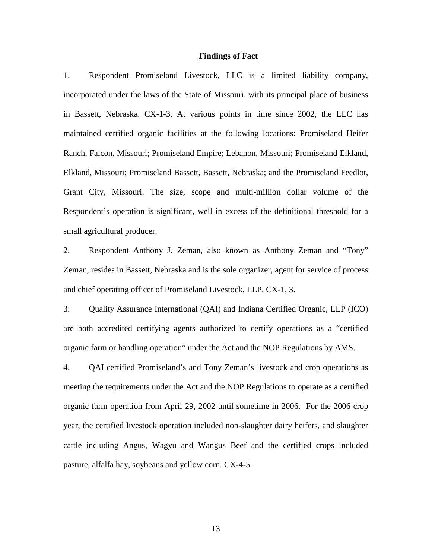## **Findings of Fact**

1. Respondent Promiseland Livestock, LLC is a limited liability company, incorporated under the laws of the State of Missouri, with its principal place of business in Bassett, Nebraska. CX-1-3. At various points in time since 2002, the LLC has maintained certified organic facilities at the following locations: Promiseland Heifer Ranch, Falcon, Missouri; Promiseland Empire; Lebanon, Missouri; Promiseland Elkland, Elkland, Missouri; Promiseland Bassett, Bassett, Nebraska; and the Promiseland Feedlot, Grant City, Missouri. The size, scope and multi-million dollar volume of the Respondent's operation is significant, well in excess of the definitional threshold for a small agricultural producer.

2. Respondent Anthony J. Zeman, also known as Anthony Zeman and "Tony" Zeman, resides in Bassett, Nebraska and is the sole organizer, agent for service of process and chief operating officer of Promiseland Livestock, LLP. CX-1, 3.

3. Quality Assurance International (QAI) and Indiana Certified Organic, LLP (ICO) are both accredited certifying agents authorized to certify operations as a "certified organic farm or handling operation" under the Act and the NOP Regulations by AMS.

4. QAI certified Promiseland's and Tony Zeman's livestock and crop operations as meeting the requirements under the Act and the NOP Regulations to operate as a certified organic farm operation from April 29, 2002 until sometime in 2006. For the 2006 crop year, the certified livestock operation included non-slaughter dairy heifers, and slaughter cattle including Angus, Wagyu and Wangus Beef and the certified crops included pasture, alfalfa hay, soybeans and yellow corn. CX-4-5.

13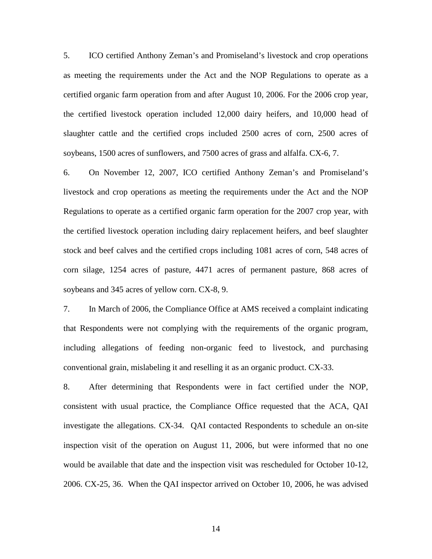5. ICO certified Anthony Zeman's and Promiseland's livestock and crop operations as meeting the requirements under the Act and the NOP Regulations to operate as a certified organic farm operation from and after August 10, 2006. For the 2006 crop year, the certified livestock operation included 12,000 dairy heifers, and 10,000 head of slaughter cattle and the certified crops included 2500 acres of corn, 2500 acres of soybeans, 1500 acres of sunflowers, and 7500 acres of grass and alfalfa. CX-6, 7.

6. On November 12, 2007, ICO certified Anthony Zeman's and Promiseland's livestock and crop operations as meeting the requirements under the Act and the NOP Regulations to operate as a certified organic farm operation for the 2007 crop year, with the certified livestock operation including dairy replacement heifers, and beef slaughter stock and beef calves and the certified crops including 1081 acres of corn, 548 acres of corn silage, 1254 acres of pasture, 4471 acres of permanent pasture, 868 acres of soybeans and 345 acres of yellow corn. CX-8, 9.

7. In March of 2006, the Compliance Office at AMS received a complaint indicating that Respondents were not complying with the requirements of the organic program, including allegations of feeding non-organic feed to livestock, and purchasing conventional grain, mislabeling it and reselling it as an organic product. CX-33.

8. After determining that Respondents were in fact certified under the NOP, consistent with usual practice, the Compliance Office requested that the ACA, QAI investigate the allegations. CX-34. QAI contacted Respondents to schedule an on-site inspection visit of the operation on August 11, 2006, but were informed that no one would be available that date and the inspection visit was rescheduled for October 10-12, 2006. CX-25, 36. When the QAI inspector arrived on October 10, 2006, he was advised

14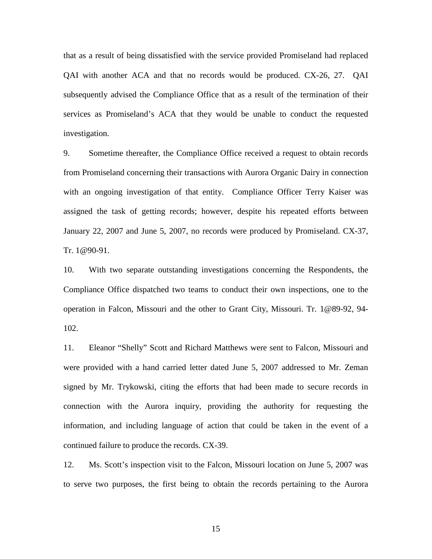that as a result of being dissatisfied with the service provided Promiseland had replaced QAI with another ACA and that no records would be produced. CX-26, 27. QAI subsequently advised the Compliance Office that as a result of the termination of their services as Promiseland's ACA that they would be unable to conduct the requested investigation.

9. Sometime thereafter, the Compliance Office received a request to obtain records from Promiseland concerning their transactions with Aurora Organic Dairy in connection with an ongoing investigation of that entity. Compliance Officer Terry Kaiser was assigned the task of getting records; however, despite his repeated efforts between January 22, 2007 and June 5, 2007, no records were produced by Promiseland. CX-37, Tr. 1@90-91.

10. With two separate outstanding investigations concerning the Respondents, the Compliance Office dispatched two teams to conduct their own inspections, one to the operation in Falcon, Missouri and the other to Grant City, Missouri. Tr. 1@89-92, 94- 102.

11. Eleanor "Shelly" Scott and Richard Matthews were sent to Falcon, Missouri and were provided with a hand carried letter dated June 5, 2007 addressed to Mr. Zeman signed by Mr. Trykowski, citing the efforts that had been made to secure records in connection with the Aurora inquiry, providing the authority for requesting the information, and including language of action that could be taken in the event of a continued failure to produce the records. CX-39.

12. Ms. Scott's inspection visit to the Falcon, Missouri location on June 5, 2007 was to serve two purposes, the first being to obtain the records pertaining to the Aurora

15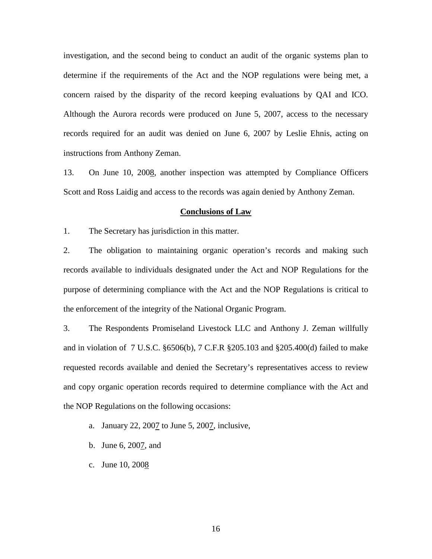investigation, and the second being to conduct an audit of the organic systems plan to determine if the requirements of the Act and the NOP regulations were being met, a concern raised by the disparity of the record keeping evaluations by QAI and ICO. Although the Aurora records were produced on June 5, 2007, access to the necessary records required for an audit was denied on June 6, 2007 by Leslie Ehnis, acting on instructions from Anthony Zeman.

13. On June 10, 2008, another inspection was attempted by Compliance Officers Scott and Ross Laidig and access to the records was again denied by Anthony Zeman.

#### **Conclusions of Law**

1. The Secretary has jurisdiction in this matter.

2. The obligation to maintaining organic operation's records and making such records available to individuals designated under the Act and NOP Regulations for the purpose of determining compliance with the Act and the NOP Regulations is critical to the enforcement of the integrity of the National Organic Program.

3. The Respondents Promiseland Livestock LLC and Anthony J. Zeman willfully and in violation of 7 U.S.C. §6506(b), 7 C.F.R §205.103 and §205.400(d) failed to make requested records available and denied the Secretary's representatives access to review and copy organic operation records required to determine compliance with the Act and the NOP Regulations on the following occasions:

- a. January 22, 2007 to June 5, 2007, inclusive,
- b. June 6, 2007, and
- c. June 10, 2008